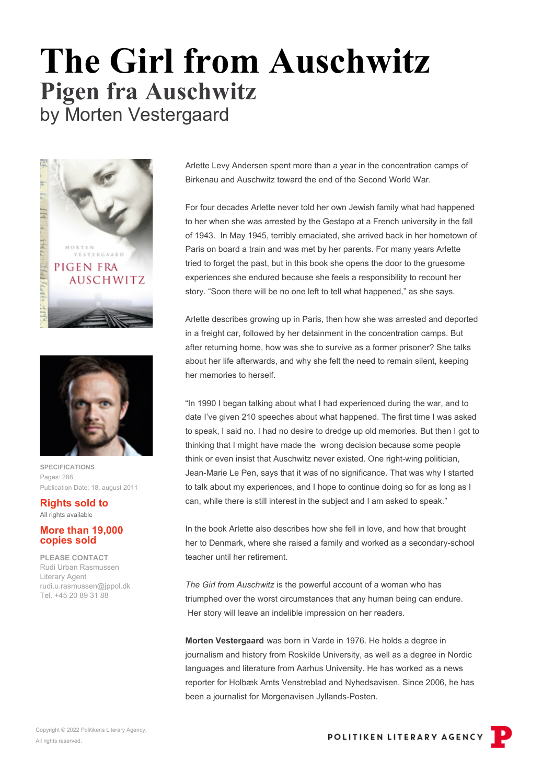## **The Girl from Auschwitz Pigen fra Auschwitz** by Morten Vestergaard





**SPECIFICATIONS** Pages: 288 Publication Date: 18. august 2011

## **Rights sold to**

All rights available

**More than 19,000 copies sold**

**PLEASE CONTACT** Rudi Urban Rasmussen Literary Agent rudi.u.rasmussen@jppol.dk Tel. +45 20 89 31 88

Arlette Levy Andersen spent more than a year in the concentration camps of Birkenau and Auschwitz toward the end of the Second World War.

For four decades Arlette never told her own Jewish family what had happened to her when she was arrested by the Gestapo at a French university in the fall of 1943. In May 1945, terribly emaciated, she arrived back in her hometown of Paris on board a train and was met by her parents. For many years Arlette tried to forget the past, but in this book she opens the door to the gruesome experiences she endured because she feels a responsibility to recount her story. "Soon there will be no one left to tell what happened," as she says.

Arlette describes growing up in Paris, then how she was arrested and deported in a freight car, followed by her detainment in the concentration camps. But after returning home, how was she to survive as a former prisoner? She talks about her life afterwards, and why she felt the need to remain silent, keeping her memories to herself.

"In 1990 I began talking about what I had experienced during the war, and to date I've given 210 speeches about what happened. The first time I was asked to speak, I said no. I had no desire to dredge up old memories. But then I got to thinking that I might have made the wrong decision because some people think or even insist that Auschwitz never existed. One right-wing politician, Jean-Marie Le Pen, says that it was of no significance. That was why I started to talk about my experiences, and I hope to continue doing so for as long as I can, while there is still interest in the subject and I am asked to speak."

In the book Arlette also describes how she fell in love, and how that brought her to Denmark, where she raised a family and worked as a secondary-school teacher until her retirement.

*The Girl from Auschwitz* is the powerful account of a woman who has triumphed over the worst circumstances that any human being can endure. Her story will leave an indelible impression on her readers.

**Morten Vestergaard** was born in Varde in 1976. He holds a degree in journalism and history from Roskilde University, as well as a degree in Nordic languages and literature from Aarhus University. He has worked as a news reporter for Holbæk Amts Venstreblad and Nyhedsavisen. Since 2006, he has been a journalist for Morgenavisen Jyllands-Posten.

POLITIKEN LITERARY AGENCY

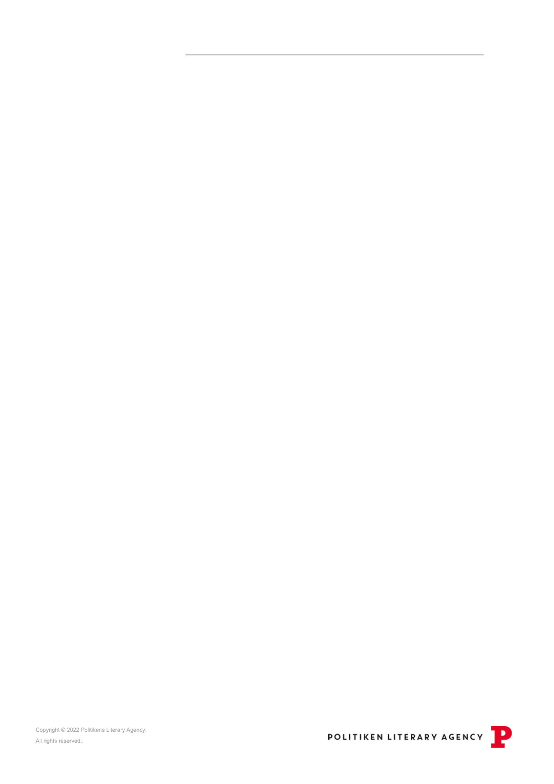